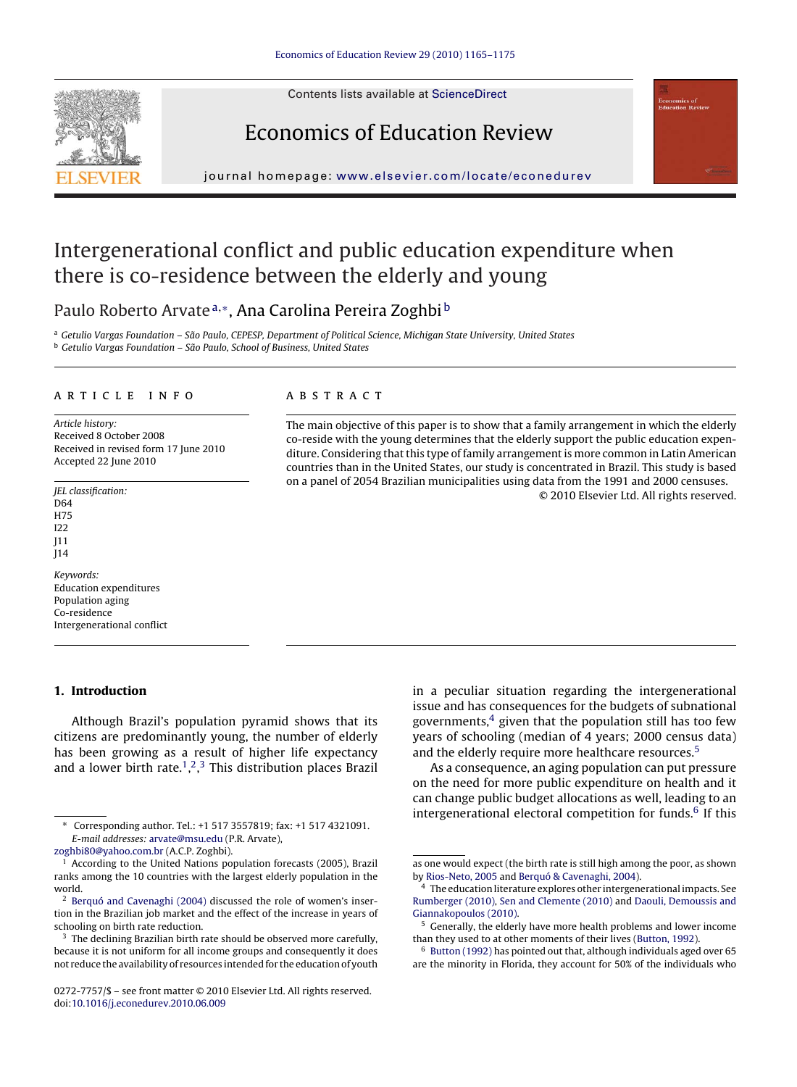Contents lists available at [ScienceDirect](http://www.sciencedirect.com/science/journal/02727757)







journal homepage: [www.elsevier.com/locate/econedurev](http://www.elsevier.com/locate/econedurev)

# Intergenerational conflict and public education expenditure when there is co-residence between the elderly and young

## Paulo Roberto Arvate<sup>a,∗</sup>, Ana Carolina Pereira Zoghbi<sup>b</sup>

a Getulio Vargas Foundation – São Paulo, CEPESP, Department of Political Science, Michigan State University, United States <sup>b</sup> Getulio Vargas Foundation – São Paulo, School of Business, United States

### article info

Article history: Received 8 October 2008 Received in revised form 17 June 2010 Accepted 22 June 2010

JEL classification: D64 H75 I22 J11 J14

Keywords: Education expenditures Population aging Co-residence Intergenerational conflict

## **1. Introduction**

Although Brazil's population pyramid shows that its citizens are predominantly young, the number of elderly has been growing as a result of higher life expectancy and a lower birth rate.<sup>1</sup>,<sup>2</sup>,<sup>3</sup> This distribution places Brazil

## **ABSTRACT**

The main objective of this paper is to show that a family arrangement in which the elderly co-reside with the young determines that the elderly support the public education expenditure. Considering that this type of family arrangement is more common in Latin American countries than in the United States, our study is concentrated in Brazil. This study is based on a panel of 2054 Brazilian municipalities using data from the 1991 and 2000 censuses. © 2010 Elsevier Ltd. All rights reserved.

> in a peculiar situation regarding the intergenerational issue and has consequences for the budgets of subnational governments, $4$  given that the population still has too few years of schooling (median of 4 years; 2000 census data) and the elderly require more healthcare resources.<sup>5</sup>

> As a consequence, an aging population can put pressure on the need for more public expenditure on health and it can change public budget allocations as well, leading to an intergenerational electoral competition for funds. $6$  If this

<sup>∗</sup> Corresponding author. Tel.: +1 517 3557819; fax: +1 517 4321091. E-mail addresses: [arvate@msu.edu](mailto:arvate@msu.edu) (P.R. Arvate),

[zoghbi80@yahoo.com.br](mailto:zoghbi80@yahoo.com.br) (A.C.P. Zoghbi).

<sup>&</sup>lt;sup>1</sup> According to the United Nations population forecasts (2005), Brazil ranks among the 10 countries with the largest elderly population in the world.

<sup>2</sup> [Berquó and Cavenaghi \(2004\)](#page-9-0) discussed the role of women's insertion in the Brazilian job market and the effect of the increase in years of schooling on birth rate reduction.

<sup>&</sup>lt;sup>3</sup> The declining Brazilian birth rate should be observed more carefully, because it is not uniform for all income groups and consequently it does not reduce the availability of resources intended for the education of youth

<sup>0272-7757/\$ –</sup> see front matter © 2010 Elsevier Ltd. All rights reserved. doi:[10.1016/j.econedurev.2010.06.009](dx.doi.org/10.1016/j.econedurev.2010.06.009)

as one would expect (the birth rate is still high among the poor, as shown by [Rios-Neto, 2005](#page-10-0) and [Berquó & Cavenaghi, 2004\).](#page-9-0)

<sup>4</sup> The education literature explores other intergenerational impacts. See [Rumberger \(2010\),](#page-10-0) [Sen and Clemente \(2010\)](#page-10-0) and [Daouli, Demoussis and](#page-9-0) [Giannakopoulos \(2010\).](#page-9-0)

<sup>5</sup> Generally, the elderly have more health problems and lower income than they used to at other moments of their lives [\(Button, 1992\).](#page-9-0)

<sup>6</sup> [Button \(1992\)](#page-9-0) has pointed out that, although individuals aged over 65 are the minority in Florida, they account for 50% of the individuals who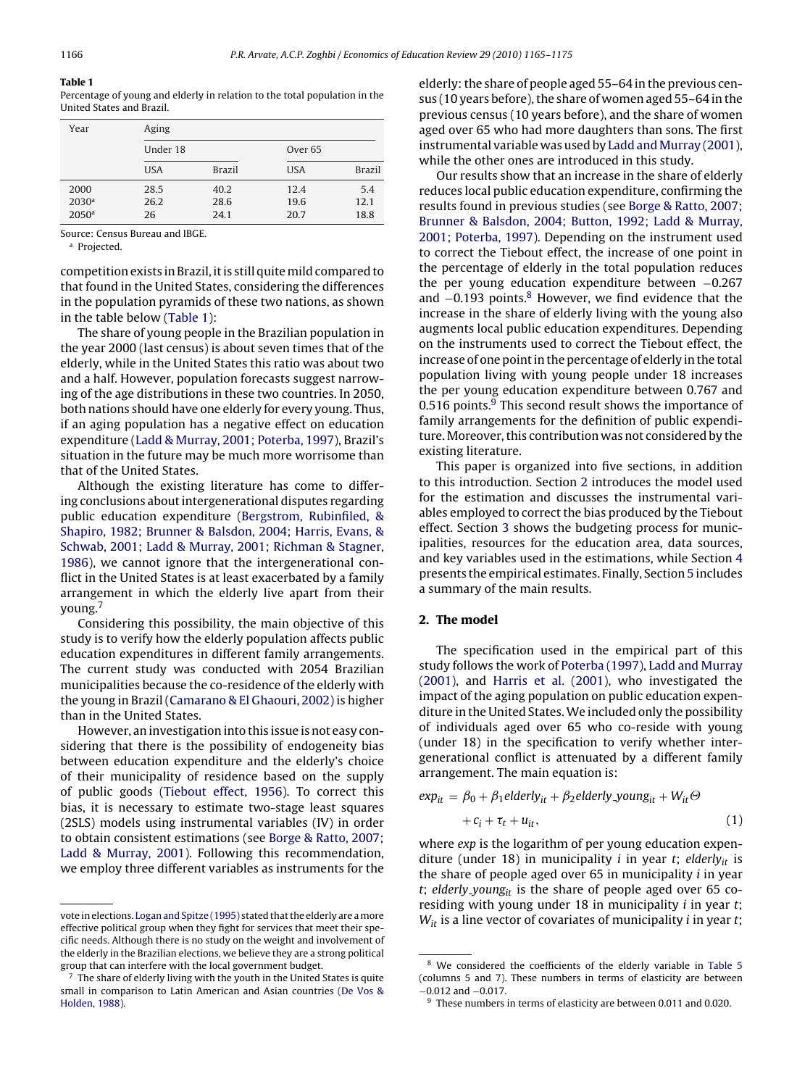## <span id="page-1-0"></span>**Table 1**

Percentage of young and elderly in relation to the total population in the United States and Brazil.

| Year                                           | Aging              |                      |                      |                     |  |  |  |
|------------------------------------------------|--------------------|----------------------|----------------------|---------------------|--|--|--|
|                                                | Under 18           |                      | Over <sub>65</sub>   |                     |  |  |  |
|                                                | <b>USA</b>         | <b>Brazil</b>        | <b>USA</b>           | <b>Brazil</b>       |  |  |  |
| 2000<br>2030 <sup>a</sup><br>2050 <sup>a</sup> | 28.5<br>26.2<br>26 | 40.2<br>28.6<br>24.1 | 12.4<br>19.6<br>20.7 | 5.4<br>12.1<br>18.8 |  |  |  |

Source: Census Bureau and IBGE.

<sup>a</sup> Projected.

competition exists in Brazil, it is still quitemild compared to that found in the United States, considering the differences in the population pyramids of these two nations, as shown in the table below (Table 1):

The share of young people in the Brazilian population in the year 2000 (last census) is about seven times that of the elderly, while in the United States this ratio was about two and a half. However, population forecasts suggest narrowing of the age distributions in these two countries. In 2050, both nations should have one elderly for every young. Thus, if an aging population has a negative effect on education expenditure ([Ladd & Murray, 2001; Poterba, 1997\),](#page-9-0) Brazil's situation in the future may be much more worrisome than that of the United States.

Although the existing literature has come to differing conclusions about intergenerational disputes regarding public education expenditure [\(Bergstrom, Rubinfiled, &](#page-9-0) [Shapiro, 1982; Brunner & Balsdon, 2004; Harris, Evans, &](#page-9-0) [Schwab, 2001; Ladd & Murray, 2001; Richman & Stagner,](#page-9-0) [1986\),](#page-9-0) we cannot ignore that the intergenerational conflict in the United States is at least exacerbated by a family arrangement in which the elderly live apart from their young.7

Considering this possibility, the main objective of this study is to verify how the elderly population affects public education expenditures in different family arrangements. The current study was conducted with 2054 Brazilian municipalities because the co-residence of the elderly with the young in Brazil ([Camarano & El Ghaouri, 2002\) i](#page-9-0)s higher than in the United States.

However, an investigation into this issue is not easy considering that there is the possibility of endogeneity bias between education expenditure and the elderly's choice of their municipality of residence based on the supply of public goods [\(Tiebout effect, 1956\).](#page-10-0) To correct this bias, it is necessary to estimate two-stage least squares (2SLS) models using instrumental variables (IV) in order to obtain consistent estimations (see [Borge & Ratto, 2007;](#page-9-0) [Ladd & Murray, 2001\).](#page-9-0) Following this recommendation, we employ three different variables as instruments for the

elderly: the share of people aged 55–64 in the previous census (10 years before), the share of women aged 55–64 in the previous census (10 years before), and the share of women aged over 65 who had more daughters than sons. The first instrumental variable was used by [Ladd and Murray \(2001\),](#page-9-0) while the other ones are introduced in this study.

Our results show that an increase in the share of elderly reduces local public education expenditure, confirming the results found in previous studies (see [Borge & Ratto, 2007;](#page-9-0) [Brunner & Balsdon, 2004; Button, 1992; Ladd & Murray,](#page-9-0) [2001; Poterba, 1997\).](#page-9-0) Depending on the instrument used to correct the Tiebout effect, the increase of one point in the percentage of elderly in the total population reduces the per young education expenditure between −0.267 and  $-0.193$  points.<sup>8</sup> However, we find evidence that the increase in the share of elderly living with the young also augments local public education expenditures. Depending on the instruments used to correct the Tiebout effect, the increase of one point in the percentage of elderly in the total population living with young people under 18 increases the per young education expenditure between 0.767 and 0.516 points. $9$  This second result shows the importance of family arrangements for the definition of public expenditure. Moreover, this contribution was not considered by the existing literature.

This paper is organized into five sections, in addition to this introduction. Section 2 introduces the model used for the estimation and discusses the instrumental variables employed to correct the bias produced by the Tiebout effect. Section [3](#page-2-0) shows the budgeting process for municipalities, resources for the education area, data sources, and key variables used in the estimations, while Section [4](#page-5-0) presents the empirical estimates. Finally, Section [5](#page-8-0) includes a summary of the main results.

## **2. The model**

The specification used in the empirical part of this study follows the work of [Poterba \(1997\),](#page-9-0) [Ladd and Murray](#page-9-0) [\(2001\),](#page-9-0) and [Harris et al. \(2001\),](#page-9-0) who investigated the impact of the aging population on public education expenditure in the United States.We included only the possibility of individuals aged over 65 who co-reside with young (under 18) in the specification to verify whether intergenerational conflict is attenuated by a different family arrangement. The main equation is:

$$
exp_{it} = \beta_0 + \beta_1 \text{elderly}_{it} + \beta_2 \text{elderly\_young}_{it} + W_{it} \Theta
$$

$$
+ c_i + \tau_t + u_{it}, \tag{1}
$$

where exp is the logarithm of per young education expenditure (under 18) in municipality *i* in year *t*; *elderly<sub>it</sub>* is the share of people aged over  $65$  in municipality  $i$  in year t; elderly young<sub>it</sub> is the share of people aged over 65 coresiding with young under 18 in municipality  $i$  in year  $t$ ;  $W_{it}$  is a line vector of covariates of municipality *i* in year *t*;

vote in elections. [Logan and Spitze \(1995\)](#page-9-0) stated that the elderly are amore effective political group when they fight for services that meet their specific needs. Although there is no study on the weight and involvement of the elderly in the Brazilian elections, we believe they are a strong political group that can interfere with the local government budget.

<sup>7</sup> The share of elderly living with the youth in the United States is quite small in comparison to Latin American and Asian countries [\(De Vos &](#page-9-0) [Holden, 1988\).](#page-9-0)

<sup>8</sup> We considered the coefficients of the elderly variable in [Table 5](#page-6-0) (columns 5 and 7). These numbers in terms of elasticity are between <sup>−</sup>0.012 and <sup>−</sup>0.017. <sup>9</sup> These numbers in terms of elasticity are between 0.011 and 0.020.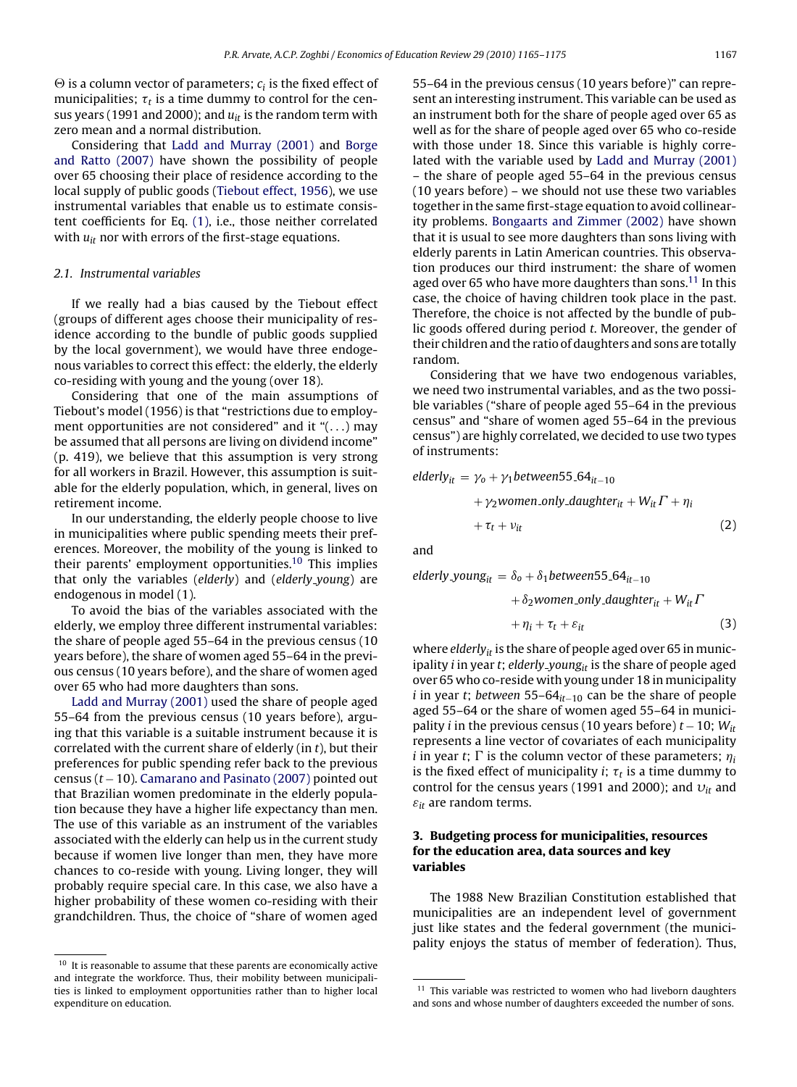<span id="page-2-0"></span> $\Theta$  is a column vector of parameters;  $c_i$  is the fixed effect of municipalities;  $\tau_t$  is a time dummy to control for the census years (1991 and 2000); and  $u_{it}$  is the random term with zero mean and a normal distribution.

Considering that [Ladd and Murray \(2001\)](#page-9-0) and [Borge](#page-9-0) [and Ratto \(2007\)](#page-9-0) have shown the possibility of people over 65 choosing their place of residence according to the local supply of public goods [\(Tiebout effect, 1956\),](#page-10-0) we use instrumental variables that enable us to estimate consistent coefficients for Eq. [\(1\), i](#page-1-0).e., those neither correlated with  $u_{it}$  nor with errors of the first-stage equations.

## 2.1. Instrumental variables

If we really had a bias caused by the Tiebout effect (groups of different ages choose their municipality of residence according to the bundle of public goods supplied by the local government), we would have three endogenous variables to correct this effect: the elderly, the elderly co-residing with young and the young (over 18).

Considering that one of the main assumptions of Tiebout's model (1956) is that "restrictions due to employment opportunities are not considered" and it " $( \ldots )$  may be assumed that all persons are living on dividend income" (p. 419), we believe that this assumption is very strong for all workers in Brazil. However, this assumption is suitable for the elderly population, which, in general, lives on retirement income.

In our understanding, the elderly people choose to live in municipalities where public spending meets their preferences. Moreover, the mobility of the young is linked to their parents' employment opportunities.10 This implies that only the variables (elderly) and (elderly young) are endogenous in model (1).

To avoid the bias of the variables associated with the elderly, we employ three different instrumental variables: the share of people aged 55–64 in the previous census (10 years before), the share of women aged 55–64 in the previous census (10 years before), and the share of women aged over 65 who had more daughters than sons.

[Ladd and Murray \(2001\)](#page-9-0) used the share of people aged 55–64 from the previous census (10 years before), arguing that this variable is a suitable instrument because it is correlated with the current share of elderly (in  $t$ ), but their preferences for public spending refer back to the previous census ( $t - 10$ ). [Camarano and Pasinato \(2007\)](#page-9-0) pointed out that Brazilian women predominate in the elderly population because they have a higher life expectancy than men. The use of this variable as an instrument of the variables associated with the elderly can help us in the current study because if women live longer than men, they have more chances to co-reside with young. Living longer, they will probably require special care. In this case, we also have a higher probability of these women co-residing with their grandchildren. Thus, the choice of "share of women aged 55–64 in the previous census (10 years before)" can represent an interesting instrument. This variable can be used as an instrument both for the share of people aged over 65 as well as for the share of people aged over 65 who co-reside with those under 18. Since this variable is highly correlated with the variable used by [Ladd and Murray \(2001\)](#page-9-0) – the share of people aged 55–64 in the previous census (10 years before) – we should not use these two variables together in the same first-stage equation to avoid collinearity problems. [Bongaarts and Zimmer \(2002\)](#page-9-0) have shown that it is usual to see more daughters than sons living with elderly parents in Latin American countries. This observation produces our third instrument: the share of women aged over 65 who have more daughters than sons.<sup>11</sup> In this case, the choice of having children took place in the past. Therefore, the choice is not affected by the bundle of public goods offered during period t. Moreover, the gender of their children and the ratio of daughters and sons are totally random.

Considering that we have two endogenous variables, we need two instrumental variables, and as the two possible variables ("share of people aged 55–64 in the previous census" and "share of women aged 55–64 in the previous census") are highly correlated, we decided to use two types of instruments:

$$
elderly_{it} = \gamma_0 + \gamma_1 between 55.64_{it-10}
$$
  
+  $\gamma_2$  women-only-daughter<sub>it</sub> +  $W_{it}\Gamma + \eta_i$   
+  $\tau_t + \nu_{it}$  (2)

and

elderly young<sub>it</sub> =  $\delta_0 + \delta_1$ between55 64<sub>it−10</sub>

$$
+\delta_2 \text{women-only-daughter}_{it} + W_{it} \Gamma
$$

$$
+\eta_i + \tau_t + \varepsilon_{it}
$$
 (3)

where elderly $_{it}$  is the share of people aged over 65 in municipality *i* in year *t*; elderly young<sub>it</sub> is the share of people aged over 65 who co-reside with young under 18 in municipality i in year t; between 55–64 $_{it-10}$  can be the share of people aged 55–64 or the share of women aged 55–64 in municipality *i* in the previous census (10 years before)  $t - 10$ ;  $W_{it}$ represents a line vector of covariates of each municipality *i* in year *t*;  $\Gamma$  is the column vector of these parameters;  $\eta_i$ is the fixed effect of municipality *i*;  $\tau_t$  is a time dummy to control for the census years (1991 and 2000); and  $v_{it}$  and  $\varepsilon_{it}$  are random terms.

## **3. Budgeting process for municipalities, resources for the education area, data sources and key variables**

The 1988 New Brazilian Constitution established that municipalities are an independent level of government just like states and the federal government (the municipality enjoys the status of member of federation). Thus,

<sup>&</sup>lt;sup>10</sup> It is reasonable to assume that these parents are economically active and integrate the workforce. Thus, their mobility between municipalities is linked to employment opportunities rather than to higher local expenditure on education.

 $^{11}$  This variable was restricted to women who had liveborn daughters and sons and whose number of daughters exceeded the number of sons.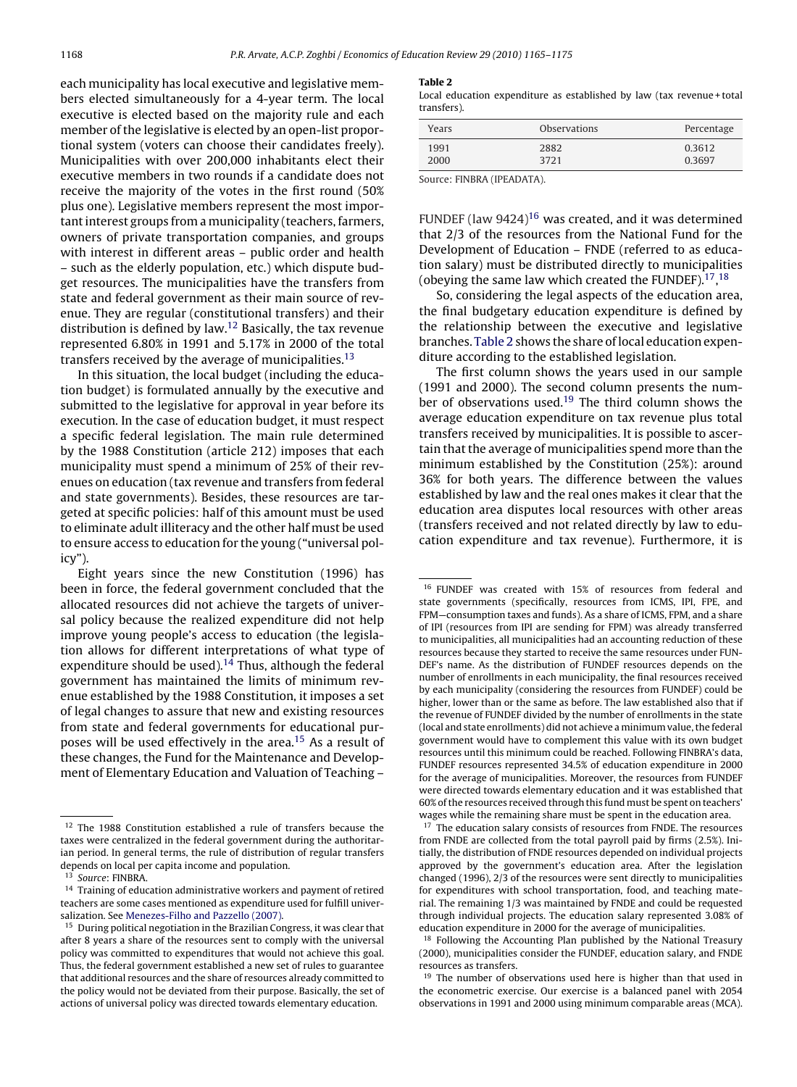each municipality has local executive and legislative members elected simultaneously for a 4-year term. The local executive is elected based on the majority rule and each member of the legislative is elected by an open-list proportional system (voters can choose their candidates freely). Municipalities with over 200,000 inhabitants elect their executive members in two rounds if a candidate does not receive the majority of the votes in the first round (50% plus one). Legislative members represent the most important interest groups from a municipality (teachers, farmers, owners of private transportation companies, and groups with interest in different areas – public order and health – such as the elderly population, etc.) which dispute budget resources. The municipalities have the transfers from state and federal government as their main source of revenue. They are regular (constitutional transfers) and their distribution is defined by law.12 Basically, the tax revenue represented 6.80% in 1991 and 5.17% in 2000 of the total transfers received by the average of municipalities.<sup>13</sup>

In this situation, the local budget (including the education budget) is formulated annually by the executive and submitted to the legislative for approval in year before its execution. In the case of education budget, it must respect a specific federal legislation. The main rule determined by the 1988 Constitution (article 212) imposes that each municipality must spend a minimum of 25% of their revenues on education (tax revenue and transfers from federal and state governments). Besides, these resources are targeted at specific policies: half of this amount must be used to eliminate adult illiteracy and the other half must be used to ensure access to education for the young ("universal policy").

Eight years since the new Constitution (1996) has been in force, the federal government concluded that the allocated resources did not achieve the targets of universal policy because the realized expenditure did not help improve young people's access to education (the legislation allows for different interpretations of what type of expenditure should be used).<sup>14</sup> Thus, although the federal government has maintained the limits of minimum revenue established by the 1988 Constitution, it imposes a set of legal changes to assure that new and existing resources from state and federal governments for educational purposes will be used effectively in the area.<sup>15</sup> As a result of these changes, the Fund for the Maintenance and Development of Elementary Education and Valuation of Teaching –

#### **Table 2**

Local education expenditure as established by law (tax revenue + total transfers).

| Years | <b>Observations</b> | Percentage |
|-------|---------------------|------------|
| 1991  | 2882                | 0.3612     |
| 2000  | 3721                | 0.3697     |

Source: FINBRA (IPEADATA).

FUNDEF (law  $9424$ )<sup>16</sup> was created, and it was determined that 2/3 of the resources from the National Fund for the Development of Education – FNDE (referred to as education salary) must be distributed directly to municipalities (obeying the same law which created the FUNDEF). $^{17}$ ,  $^{18}$ 

So, considering the legal aspects of the education area, the final budgetary education expenditure is defined by the relationship between the executive and legislative branches. Table 2 shows the share of local education expenditure according to the established legislation.

The first column shows the years used in our sample (1991 and 2000). The second column presents the number of observations used.<sup>19</sup> The third column shows the average education expenditure on tax revenue plus total transfers received by municipalities. It is possible to ascertain that the average of municipalities spend more than the minimum established by the Constitution (25%): around 36% for both years. The difference between the values established by law and the real ones makes it clear that the education area disputes local resources with other areas (transfers received and not related directly by law to education expenditure and tax revenue). Furthermore, it is

<sup>&</sup>lt;sup>12</sup> The 1988 Constitution established a rule of transfers because the taxes were centralized in the federal government during the authoritarian period. In general terms, the rule of distribution of regular transfers depends on local per capita income and population.

<sup>&</sup>lt;sup>13</sup> Source: FINBRA.

<sup>&</sup>lt;sup>14</sup> Training of education administrative workers and payment of retired teachers are some cases mentioned as expenditure used for fulfill universalization. See [Menezes-Filho and Pazzello \(2007\).](#page-9-0)

<sup>15</sup> During political negotiation in the Brazilian Congress, it was clear that after 8 years a share of the resources sent to comply with the universal policy was committed to expenditures that would not achieve this goal. Thus, the federal government established a new set of rules to guarantee that additional resources and the share of resources already committed to the policy would not be deviated from their purpose. Basically, the set of actions of universal policy was directed towards elementary education.

<sup>16</sup> FUNDEF was created with 15% of resources from federal and state governments (specifically, resources from ICMS, IPI, FPE, and FPM—consumption taxes and funds). As a share of ICMS, FPM, and a share of IPI (resources from IPI are sending for FPM) was already transferred to municipalities, all municipalities had an accounting reduction of these resources because they started to receive the same resources under FUN-DEF's name. As the distribution of FUNDEF resources depends on the number of enrollments in each municipality, the final resources received by each municipality (considering the resources from FUNDEF) could be higher, lower than or the same as before. The law established also that if the revenue of FUNDEF divided by the number of enrollments in the state (local and state enrollments) did not achieve a minimum value, the federal government would have to complement this value with its own budget resources until this minimum could be reached. Following FINBRA's data, FUNDEF resources represented 34.5% of education expenditure in 2000 for the average of municipalities. Moreover, the resources from FUNDEF were directed towards elementary education and it was established that 60% of the resources received through this fund must be spent on teachers' wages while the remaining share must be spent in the education area.

<sup>&</sup>lt;sup>17</sup> The education salary consists of resources from FNDE. The resources from FNDE are collected from the total payroll paid by firms (2.5%). Initially, the distribution of FNDE resources depended on individual projects approved by the government's education area. After the legislation changed (1996), 2/3 of the resources were sent directly to municipalities for expenditures with school transportation, food, and teaching material. The remaining 1/3 was maintained by FNDE and could be requested through individual projects. The education salary represented 3.08% of education expenditure in 2000 for the average of municipalities.

<sup>&</sup>lt;sup>18</sup> Following the Accounting Plan published by the National Treasury (2000), municipalities consider the FUNDEF, education salary, and FNDE resources as transfers.

The number of observations used here is higher than that used in the econometric exercise. Our exercise is a balanced panel with 2054 observations in 1991 and 2000 using minimum comparable areas (MCA).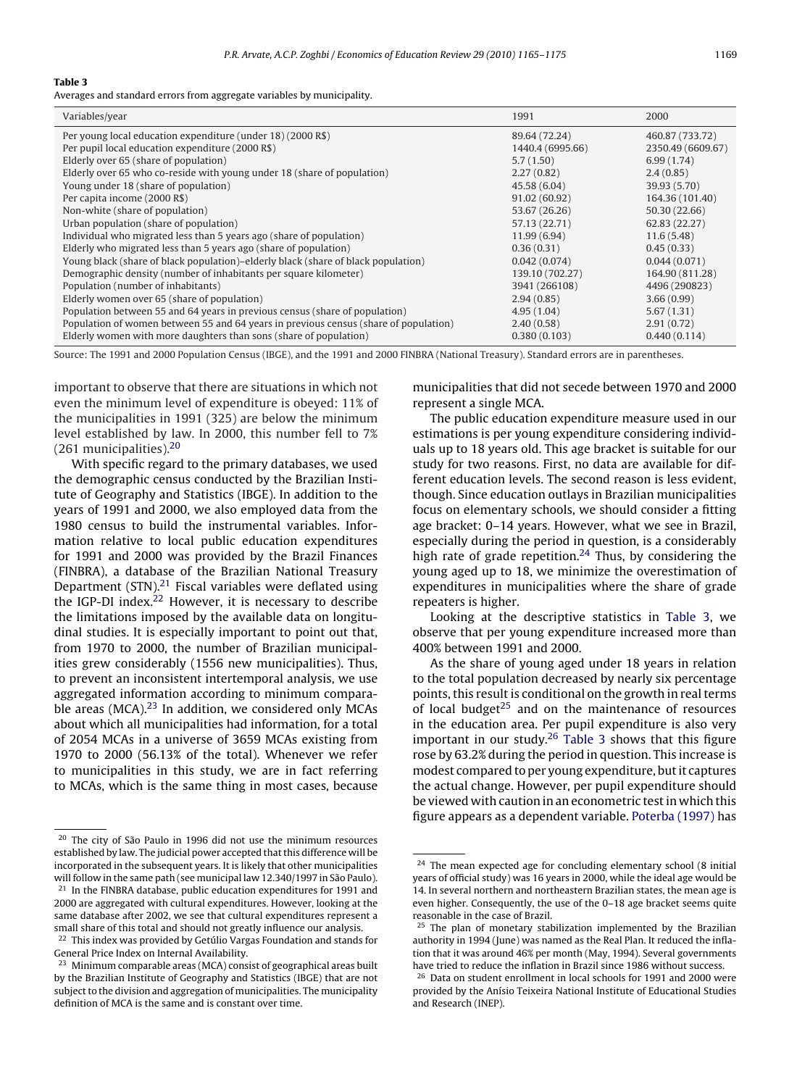#### **Table 3**

Averages and standard errors from aggregate variables by municipality.

| Variables/year                                                                                                  | 1991                              | 2000                                 |
|-----------------------------------------------------------------------------------------------------------------|-----------------------------------|--------------------------------------|
| Per young local education expenditure (under 18) (2000 R\$)<br>Per pupil local education expenditure (2000 R\$) | 89.64 (72.24)<br>1440.4 (6995.66) | 460.87 (733.72)<br>2350.49 (6609.67) |
| Elderly over 65 (share of population)                                                                           | 5.7(1.50)                         | 6.99(1.74)                           |
| Elderly over 65 who co-reside with young under 18 (share of population)                                         | 2.27(0.82)                        | 2.4(0.85)                            |
| Young under 18 (share of population)                                                                            | 45.58 (6.04)                      | 39.93 (5.70)                         |
| Per capita income (2000 R\$)                                                                                    | 91.02 (60.92)                     | 164.36 (101.40)                      |
| Non-white (share of population)                                                                                 | 53.67 (26.26)                     | 50.30 (22.66)                        |
| Urban population (share of population)                                                                          | 57.13 (22.71)                     | 62.83 (22.27)                        |
| Individual who migrated less than 5 years ago (share of population)                                             | 11.99 (6.94)                      | 11.6(5.48)                           |
| Elderly who migrated less than 5 years ago (share of population)                                                | 0.36(0.31)                        | 0.45(0.33)                           |
| Young black (share of black population)–elderly black (share of black population)                               | 0.042(0.074)                      | 0.044(0.071)                         |
| Demographic density (number of inhabitants per square kilometer)                                                | 139.10 (702.27)                   | 164.90 (811.28)                      |
| Population (number of inhabitants)                                                                              | 3941 (266108)                     | 4496 (290823)                        |
| Elderly women over 65 (share of population)                                                                     | 2.94(0.85)                        | 3.66(0.99)                           |
| Population between 55 and 64 years in previous census (share of population)                                     | 4.95(1.04)                        | 5.67(1.31)                           |
| Population of women between 55 and 64 years in previous census (share of population)                            | 2.40(0.58)                        | 2.91(0.72)                           |
| Elderly women with more daughters than sons (share of population)                                               | 0.380(0.103)                      | 0.440(0.114)                         |

Source: The 1991 and 2000 Population Census (IBGE), and the 1991 and 2000 FINBRA (National Treasury). Standard errors are in parentheses.

important to observe that there are situations in which not even the minimum level of expenditure is obeyed: 11% of the municipalities in 1991 (325) are below the minimum level established by law. In 2000, this number fell to 7% (261 municipalities).20

With specific regard to the primary databases, we used the demographic census conducted by the Brazilian Institute of Geography and Statistics (IBGE). In addition to the years of 1991 and 2000, we also employed data from the 1980 census to build the instrumental variables. Information relative to local public education expenditures for 1991 and 2000 was provided by the Brazil Finances (FINBRA), a database of the Brazilian National Treasury Department (STN).<sup>21</sup> Fiscal variables were deflated using the IGP-DI index. $22$  However, it is necessary to describe the limitations imposed by the available data on longitudinal studies. It is especially important to point out that, from 1970 to 2000, the number of Brazilian municipalities grew considerably (1556 new municipalities). Thus, to prevent an inconsistent intertemporal analysis, we use aggregated information according to minimum comparable areas (MCA). $23$  In addition, we considered only MCAs about which all municipalities had information, for a total of 2054 MCAs in a universe of 3659 MCAs existing from 1970 to 2000 (56.13% of the total). Whenever we refer to municipalities in this study, we are in fact referring to MCAs, which is the same thing in most cases, because municipalities that did not secede between 1970 and 2000 represent a single MCA.

The public education expenditure measure used in our estimations is per young expenditure considering individuals up to 18 years old. This age bracket is suitable for our study for two reasons. First, no data are available for different education levels. The second reason is less evident, though. Since education outlays in Brazilian municipalities focus on elementary schools, we should consider a fitting age bracket: 0–14 years. However, what we see in Brazil, especially during the period in question, is a considerably high rate of grade repetition.<sup>24</sup> Thus, by considering the young aged up to 18, we minimize the overestimation of expenditures in municipalities where the share of grade repeaters is higher.

Looking at the descriptive statistics in Table 3, we observe that per young expenditure increased more than 400% between 1991 and 2000.

As the share of young aged under 18 years in relation to the total population decreased by nearly six percentage points, this result is conditional on the growth in real terms of local budget $25$  and on the maintenance of resources in the education area. Per pupil expenditure is also very important in our study.<sup>26</sup> Table 3 shows that this figure rose by 63.2% during the period in question. This increase is modest compared to per young expenditure, but it captures the actual change. However, per pupil expenditure should be viewed with caution in an econometric test in which this figure appears as a dependent variable. [Poterba \(1997\)](#page-9-0) has

<sup>20</sup> The city of São Paulo in 1996 did not use the minimum resources established by law. The judicial power accepted that this difference will be incorporated in the subsequent years. It is likely that other municipalities will follow in the same path (see municipal law 12.340/1997 in São Paulo). <sup>21</sup> In the FINBRA database, public education expenditures for 1991 and

<sup>2000</sup> are aggregated with cultural expenditures. However, looking at the same database after 2002, we see that cultural expenditures represent a small share of this total and should not greatly influence our analysis. <sup>22</sup> This index was provided by Getúlio Vargas Foundation and stands for

General Price Index on Internal Availability.

<sup>&</sup>lt;sup>23</sup> Minimum comparable areas (MCA) consist of geographical areas built by the Brazilian Institute of Geography and Statistics (IBGE) that are not subject to the division and aggregation of municipalities. The municipality definition of MCA is the same and is constant over time.

 $24$  The mean expected age for concluding elementary school (8 initial years of official study) was 16 years in 2000, while the ideal age would be 14. In several northern and northeastern Brazilian states, the mean age is even higher. Consequently, the use of the 0–18 age bracket seems quite reasonable in the case of Brazil.

 $25$  The plan of monetary stabilization implemented by the Brazilian authority in 1994 (June) was named as the Real Plan. It reduced the inflation that it was around 46% per month (May, 1994). Several governments have tried to reduce the inflation in Brazil since 1986 without success.

<sup>26</sup> Data on student enrollment in local schools for 1991 and 2000 were provided by the Anísio Teixeira National Institute of Educational Studies and Research (INEP).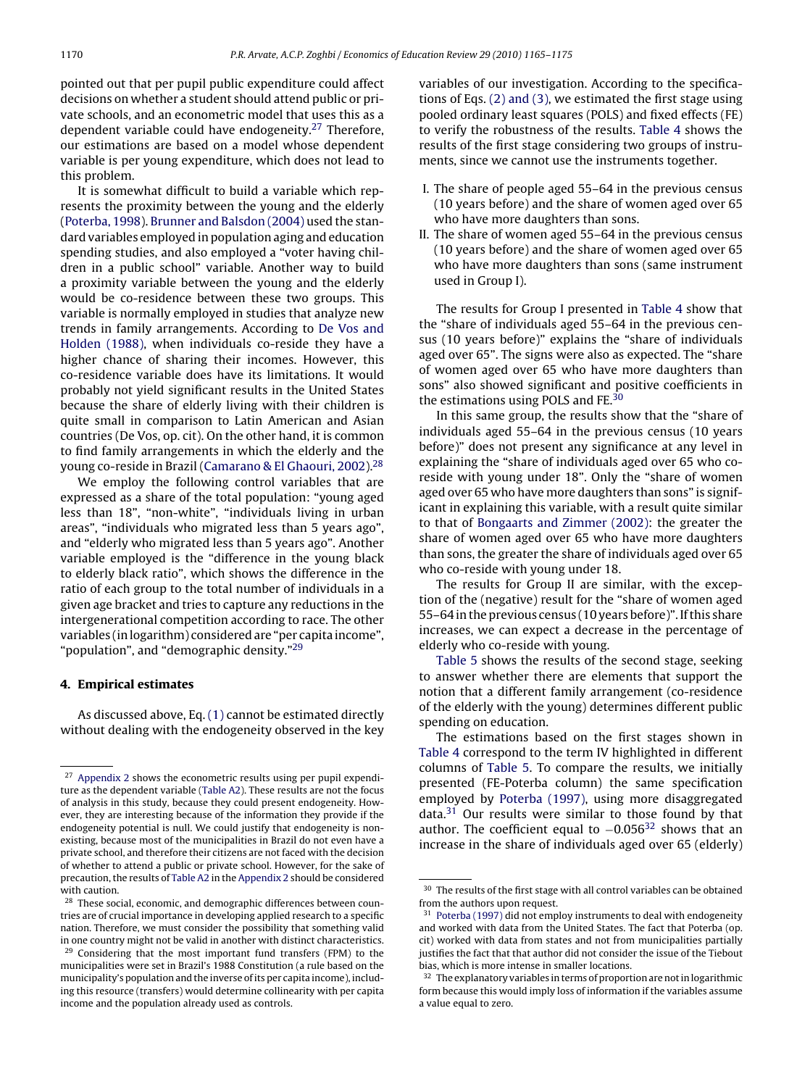<span id="page-5-0"></span>pointed out that per pupil public expenditure could affect decisions on whether a student should attend public or private schools, and an econometric model that uses this as a dependent variable could have endogeneity.<sup>27</sup> Therefore, our estimations are based on a model whose dependent variable is per young expenditure, which does not lead to this problem.

It is somewhat difficult to build a variable which represents the proximity between the young and the elderly [\(Poterba, 1998\).](#page-9-0) [Brunner and Balsdon \(2004\)](#page-9-0) used the standard variables employed in population aging and education spending studies, and also employed a "voter having children in a public school" variable. Another way to build a proximity variable between the young and the elderly would be co-residence between these two groups. This variable is normally employed in studies that analyze new trends in family arrangements. According to [De Vos and](#page-9-0) [Holden \(1988\),](#page-9-0) when individuals co-reside they have a higher chance of sharing their incomes. However, this co-residence variable does have its limitations. It would probably not yield significant results in the United States because the share of elderly living with their children is quite small in comparison to Latin American and Asian countries (De Vos, op. cit). On the other hand, it is common to find family arrangements in which the elderly and the young co-reside in Brazil [\(Camarano & El Ghaouri, 2002\).](#page-9-0)<sup>28</sup>

We employ the following control variables that are expressed as a share of the total population: "young aged less than 18", "non-white", "individuals living in urban areas", "individuals who migrated less than 5 years ago", and "elderly who migrated less than 5 years ago". Another variable employed is the "difference in the young black to elderly black ratio", which shows the difference in the ratio of each group to the total number of individuals in a given age bracket and tries to capture any reductions in the intergenerational competition according to race. The other variables (in logarithm) considered are "per capita income", "population", and "demographic density."29

## **4. Empirical estimates**

As discussed above, Eq. [\(1\)](#page-1-0) cannot be estimated directly without dealing with the endogeneity observed in the key variables of our investigation. According to the specifications of Eqs. [\(2\) and \(3\), w](#page-2-0)e estimated the first stage using pooled ordinary least squares (POLS) and fixed effects (FE) to verify the robustness of the results. [Table 4](#page-6-0) shows the results of the first stage considering two groups of instruments, since we cannot use the instruments together.

- I. The share of people aged 55–64 in the previous census (10 years before) and the share of women aged over 65 who have more daughters than sons.
- II. The share of women aged 55–64 in the previous census (10 years before) and the share of women aged over 65 who have more daughters than sons (same instrument used in Group I).

The results for Group I presented in [Table 4](#page-6-0) show that the "share of individuals aged 55–64 in the previous census (10 years before)" explains the "share of individuals aged over 65". The signs were also as expected. The "share of women aged over 65 who have more daughters than sons" also showed significant and positive coefficients in the estimations using POLS and FE.30

In this same group, the results show that the "share of individuals aged 55–64 in the previous census (10 years before)" does not present any significance at any level in explaining the "share of individuals aged over 65 who coreside with young under 18". Only the "share of women aged over 65 who have more daughters than sons" is significant in explaining this variable, with a result quite similar to that of [Bongaarts and Zimmer \(2002\):](#page-9-0) the greater the share of women aged over 65 who have more daughters than sons, the greater the share of individuals aged over 65 who co-reside with young under 18.

The results for Group II are similar, with the exception of the (negative) result for the "share of women aged 55–64 in the previous census (10 years before)". If this share increases, we can expect a decrease in the percentage of elderly who co-reside with young.

[Table 5](#page-6-0) shows the results of the second stage, seeking to answer whether there are elements that support the notion that a different family arrangement (co-residence of the elderly with the young) determines different public spending on education.

The estimations based on the first stages shown in [Table 4](#page-6-0) correspond to the term IV highlighted in different columns of [Table 5.](#page-6-0) To compare the results, we initially presented (FE-Poterba column) the same specification employed by [Poterba \(1997\),](#page-9-0) using more disaggregated data.<sup>31</sup> Our results were similar to those found by that author. The coefficient equal to  $-0.056^{32}$  shows that an increase in the share of individuals aged over 65 (elderly)

<sup>&</sup>lt;sup>27</sup> [Appendix 2](#page-8-0) shows the econometric results using per pupil expenditure as the dependent variable [\(Table A2\).](#page-9-0) These results are not the focus of analysis in this study, because they could present endogeneity. However, they are interesting because of the information they provide if the endogeneity potential is null. We could justify that endogeneity is nonexisting, because most of the municipalities in Brazil do not even have a private school, and therefore their citizens are not faced with the decision of whether to attend a public or private school. However, for the sake of precaution, the results of [Table A2](#page-9-0) in the [Appendix 2](#page-8-0) should be considered with caution.

<sup>&</sup>lt;sup>28</sup> These social, economic, and demographic differences between countries are of crucial importance in developing applied research to a specific nation. Therefore, we must consider the possibility that something valid in one country might not be valid in another with distinct characteristics.  $29$  Considering that the most important fund transfers (FPM) to the municipalities were set in Brazil's 1988 Constitution (a rule based on the municipality's population and the inverse of its per capita income), includ-

ing this resource (transfers) would determine collinearity with per capita income and the population already used as controls.

<sup>&</sup>lt;sup>30</sup> The results of the first stage with all control variables can be obtained from the authors upon request.

<sup>&</sup>lt;sup>31</sup> [Poterba \(1997\)](#page-9-0) did not employ instruments to deal with endogeneity and worked with data from the United States. The fact that Poterba (op. cit) worked with data from states and not from municipalities partially justifies the fact that that author did not consider the issue of the Tiebout bias, which is more intense in smaller locations.

<sup>&</sup>lt;sup>32</sup> The explanatory variables in terms of proportion are not in logarithmic form because this would imply loss of information if the variables assume a value equal to zero.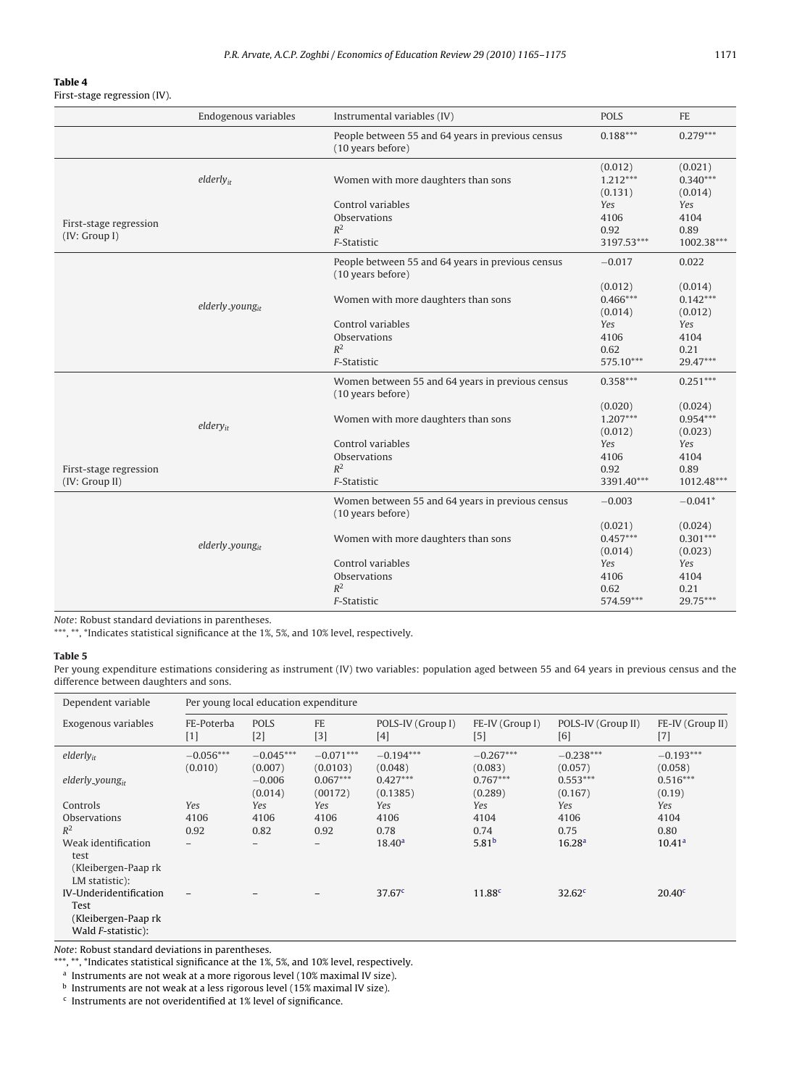#### <span id="page-6-0"></span>**Table 4**

First-stage regression (IV).

|                        | Endogenous variables  | Instrumental variables (IV)                                            | <b>POLS</b>                      | <b>FE</b>                        |
|------------------------|-----------------------|------------------------------------------------------------------------|----------------------------------|----------------------------------|
|                        |                       | People between 55 and 64 years in previous census<br>(10 years before) | $0.188***$                       | $0.279***$                       |
|                        | elderly <sub>ir</sub> | Women with more daughters than sons                                    | (0.012)<br>$1.212***$<br>(0.131) | (0.021)<br>$0.340***$<br>(0.014) |
|                        |                       | Control variables                                                      | Yes                              | Yes                              |
| First-stage regression |                       | Observations                                                           | 4106                             | 4104                             |
| (IV: Group I)          |                       | $R^2$                                                                  | 0.92                             | 0.89                             |
|                        |                       | F-Statistic                                                            | 3197.53***                       | 1002.38***                       |
|                        |                       | People between 55 and 64 years in previous census<br>(10 years before) | $-0.017$                         | 0.022                            |
|                        |                       |                                                                        | (0.012)                          | (0.014)                          |
|                        |                       | Women with more daughters than sons                                    | $0.466***$                       | $0.142***$                       |
|                        | $elderly_young_{it}$  |                                                                        | (0.014)                          | (0.012)                          |
|                        |                       | Control variables                                                      | Yes                              | Yes                              |
|                        |                       | Observations                                                           | 4106                             | 4104                             |
|                        |                       | $R^2$                                                                  | 0.62                             | 0.21                             |
|                        |                       | F-Statistic                                                            | 575.10***                        | 29.47***                         |
|                        |                       | Women between 55 and 64 years in previous census<br>(10 years before)  | $0.358***$                       | $0.251***$                       |
|                        | $eldery_{it}$         | Women with more daughters than sons                                    | (0.020)<br>$1.207***$            | (0.024)<br>$0.954***$            |
|                        |                       | Control variables                                                      | (0.012)                          | (0.023)                          |
|                        |                       | Observations                                                           | Yes<br>4106                      | Yes<br>4104                      |
| First-stage regression |                       | $R^2$                                                                  | 0.92                             | 0.89                             |
| (IV: Group II)         |                       | F-Statistic                                                            | 3391.40***                       | 1012.48***                       |
|                        |                       | Women between 55 and 64 years in previous census<br>(10 years before)  | $-0.003$                         | $-0.041*$                        |
|                        | $elderly_young_{it}$  | Women with more daughters than sons                                    | (0.021)<br>$0.457***$<br>(0.014) | (0.024)<br>$0.301***$<br>(0.023) |
|                        |                       | Control variables                                                      | Yes                              | Yes                              |
|                        |                       | Observations                                                           | 4106                             | 4104                             |
|                        |                       | $R^2$                                                                  | 0.62                             | 0.21                             |
|                        |                       | F-Statistic                                                            | 574.59***                        | 29.75***                         |

Note: Robust standard deviations in parentheses.

\*\*\*, \*\*, \*Indicates statistical significance at the 1%, 5%, and 10% level, respectively.

## **Table 5**

Per young expenditure estimations considering as instrument (IV) two variables: population aged between 55 and 64 years in previous census and the difference between daughters and sons.

| Dependent variable                                                          | Per young local education expenditure |                                |                                   |                                   |                                  |                                  |                                 |
|-----------------------------------------------------------------------------|---------------------------------------|--------------------------------|-----------------------------------|-----------------------------------|----------------------------------|----------------------------------|---------------------------------|
| Exogenous variables                                                         | FE-Poterba<br>$[1]$                   | <b>POLS</b><br>$[2]$           | <b>FE</b><br>$[3]$                | POLS-IV (Group I)<br>$[4]$        | FE-IV (Group I)<br>$[5]$         | POLS-IV (Group II)<br>[6]        | FE-IV (Group II)<br>$[7]$       |
| elderly <sub>ir</sub>                                                       | $-0.056***$                           | $-0.045***$                    | $-0.071***$                       | $-0.194***$                       | $-0.267***$                      | $-0.238***$                      | $-0.193***$                     |
| $elderly_young_{it}$                                                        | (0.010)                               | (0.007)<br>$-0.006$<br>(0.014) | (0.0103)<br>$0.067***$<br>(00172) | (0.048)<br>$0.427***$<br>(0.1385) | (0.083)<br>$0.767***$<br>(0.289) | (0.057)<br>$0.553***$<br>(0.167) | (0.058)<br>$0.516***$<br>(0.19) |
| Controls                                                                    | Yes                                   | Yes                            | Yes                               | Yes                               | Yes                              | Yes                              | Yes                             |
| <b>Observations</b>                                                         | 4106                                  | 4106                           | 4106                              | 4106                              | 4104                             | 4106                             | 4104                            |
| $R^2$                                                                       | 0.92                                  | 0.82                           | 0.92                              | 0.78                              | 0.74                             | 0.75                             | 0.80                            |
| Weak identification<br>test<br>(Kleibergen-Paap rk<br>LM statistic):        | $-$                                   |                                |                                   | 18.40 <sup>a</sup>                | 5.81 <sup>b</sup>                | 16.28 <sup>a</sup>               | 10.41 <sup>a</sup>              |
| IV-Underidentification<br>Test<br>(Kleibergen-Paap rk<br>Wald F-statistic): | $\overline{\phantom{m}}$              |                                |                                   | 37.67 <sup>c</sup>                | 11.88 <sup>c</sup>               | 32.62 <sup>c</sup>               | 20.40 <sup>c</sup>              |

Note: Robust standard deviations in parentheses.

\*\*\*, \*\*, \*Indicates statistical significance at the 1%, 5%, and 10% level, respectively.

<sup>a</sup> Instruments are not weak at a more rigorous level (10% maximal IV size).

<sup>b</sup> Instruments are not weak at a less rigorous level (15% maximal IV size).

<sup>c</sup> Instruments are not overidentified at 1% level of significance.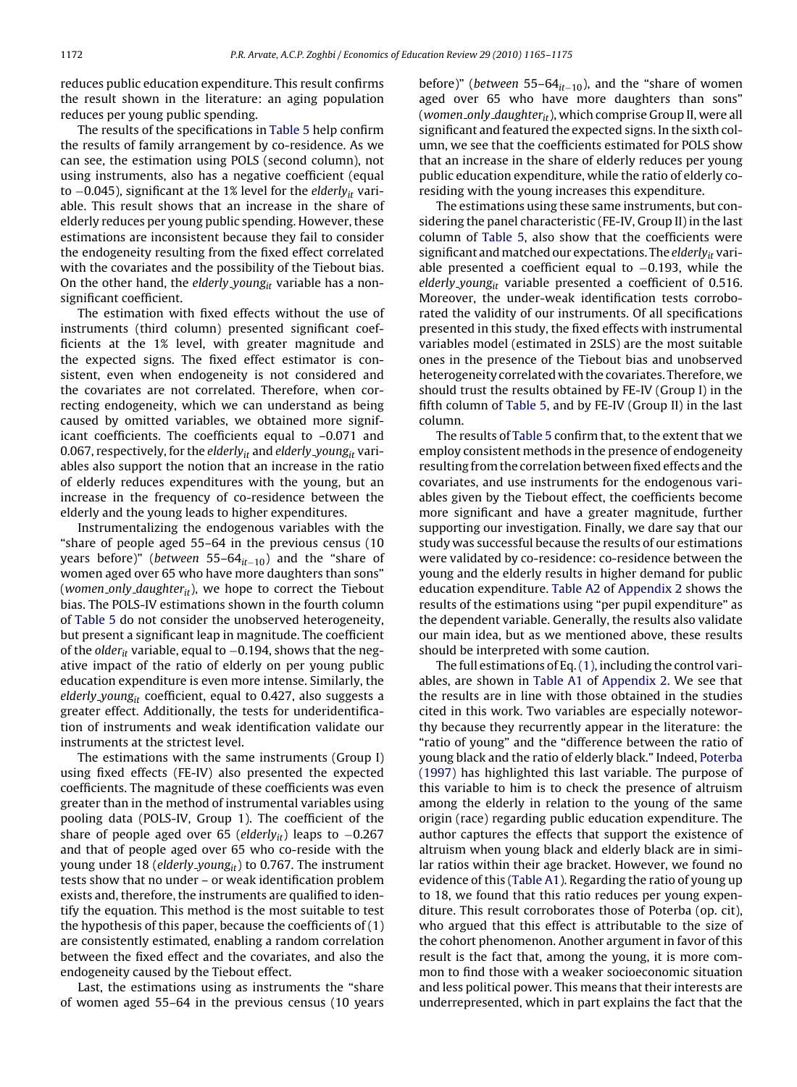reduces public education expenditure. This result confirms the result shown in the literature: an aging population reduces per young public spending.

The results of the specifications in [Table 5](#page-6-0) help confirm the results of family arrangement by co-residence. As we can see, the estimation using POLS (second column), not using instruments, also has a negative coefficient (equal to  $-0.045$ ), significant at the 1% level for the elderly<sub>it</sub> variable. This result shows that an increase in the share of elderly reduces per young public spending. However, these estimations are inconsistent because they fail to consider the endogeneity resulting from the fixed effect correlated with the covariates and the possibility of the Tiebout bias. On the other hand, the elderly young<sub>it</sub> variable has a nonsignificant coefficient.

The estimation with fixed effects without the use of instruments (third column) presented significant coefficients at the 1% level, with greater magnitude and the expected signs. The fixed effect estimator is consistent, even when endogeneity is not considered and the covariates are not correlated. Therefore, when correcting endogeneity, which we can understand as being caused by omitted variables, we obtained more significant coefficients. The coefficients equal to –0.071 and 0.067, respectively, for the elderly<sub>it</sub> and elderly young<sub>it</sub> variables also support the notion that an increase in the ratio of elderly reduces expenditures with the young, but an increase in the frequency of co-residence between the elderly and the young leads to higher expenditures.

Instrumentalizing the endogenous variables with the "share of people aged 55–64 in the previous census (10 years before)" (between 55–64 $_{it-10}$ ) and the "share of women aged over 65 who have more daughters than sons" (women only daughter $_{it}$ ), we hope to correct the Tiebout bias. The POLS-IV estimations shown in the fourth column of [Table 5](#page-6-0) do not consider the unobserved heterogeneity, but present a significant leap in magnitude. The coefficient of the older<sub>it</sub> variable, equal to  $-0.194$ , shows that the negative impact of the ratio of elderly on per young public education expenditure is even more intense. Similarly, the elderly young<sub>it</sub> coefficient, equal to 0.427, also suggests a greater effect. Additionally, the tests for underidentification of instruments and weak identification validate our instruments at the strictest level.

The estimations with the same instruments (Group I) using fixed effects (FE-IV) also presented the expected coefficients. The magnitude of these coefficients was even greater than in the method of instrumental variables using pooling data (POLS-IV, Group 1). The coefficient of the share of people aged over 65 (elderly<sub>it</sub>) leaps to  $-0.267$ and that of people aged over 65 who co-reside with the young under 18 (elderly young<sub>it</sub>) to 0.767. The instrument tests show that no under – or weak identification problem exists and, therefore, the instruments are qualified to identify the equation. This method is the most suitable to test the hypothesis of this paper, because the coefficients of (1) are consistently estimated, enabling a random correlation between the fixed effect and the covariates, and also the endogeneity caused by the Tiebout effect.

Last, the estimations using as instruments the "share of women aged 55–64 in the previous census (10 years before)" (between 55–64 $_{it-10}$ ), and the "share of women aged over 65 who have more daughters than sons" (women\_only\_daughter $_{it}$ ), which comprise Group II, were all significant and featured the expected signs. In the sixth column, we see that the coefficients estimated for POLS show that an increase in the share of elderly reduces per young public education expenditure, while the ratio of elderly coresiding with the young increases this expenditure.

The estimations using these same instruments, but considering the panel characteristic (FE-IV, Group II) in the last column of [Table 5,](#page-6-0) also show that the coefficients were significant and matched our expectations. The elderly $_{it}$  variable presented a coefficient equal to −0.193, while the elderly young<sub>it</sub> variable presented a coefficient of 0.516. Moreover, the under-weak identification tests corroborated the validity of our instruments. Of all specifications presented in this study, the fixed effects with instrumental variables model (estimated in 2SLS) are the most suitable ones in the presence of the Tiebout bias and unobserved heterogeneity correlated with the covariates. Therefore, we should trust the results obtained by FE-IV (Group I) in the fifth column of [Table 5,](#page-6-0) and by FE-IV (Group II) in the last column.

The results of [Table 5](#page-6-0) confirm that, to the extent that we employ consistent methods in the presence of endogeneity resulting from the correlation between fixed effects and the covariates, and use instruments for the endogenous variables given by the Tiebout effect, the coefficients become more significant and have a greater magnitude, further supporting our investigation. Finally, we dare say that our study was successful because the results of our estimations were validated by co-residence: co-residence between the young and the elderly results in higher demand for public education expenditure. [Table A2](#page-9-0) of [Appendix 2](#page-8-0) shows the results of the estimations using "per pupil expenditure" as the dependent variable. Generally, the results also validate our main idea, but as we mentioned above, these results should be interpreted with some caution.

The full estimations of Eq.[\(1\), i](#page-1-0)ncluding the control variables, are shown in [Table A1](#page-8-0) of [Appendix 2. W](#page-8-0)e see that the results are in line with those obtained in the studies cited in this work. Two variables are especially noteworthy because they recurrently appear in the literature: the "ratio of young" and the "difference between the ratio of young black and the ratio of elderly black." Indeed, [Poterba](#page-9-0) [\(1997\)](#page-9-0) has highlighted this last variable. The purpose of this variable to him is to check the presence of altruism among the elderly in relation to the young of the same origin (race) regarding public education expenditure. The author captures the effects that support the existence of altruism when young black and elderly black are in similar ratios within their age bracket. However, we found no evidence of this [\(Table A1\).](#page-8-0) Regarding the ratio of young up to 18, we found that this ratio reduces per young expenditure. This result corroborates those of Poterba (op. cit), who argued that this effect is attributable to the size of the cohort phenomenon. Another argument in favor of this result is the fact that, among the young, it is more common to find those with a weaker socioeconomic situation and less political power. This means that their interests are underrepresented, which in part explains the fact that the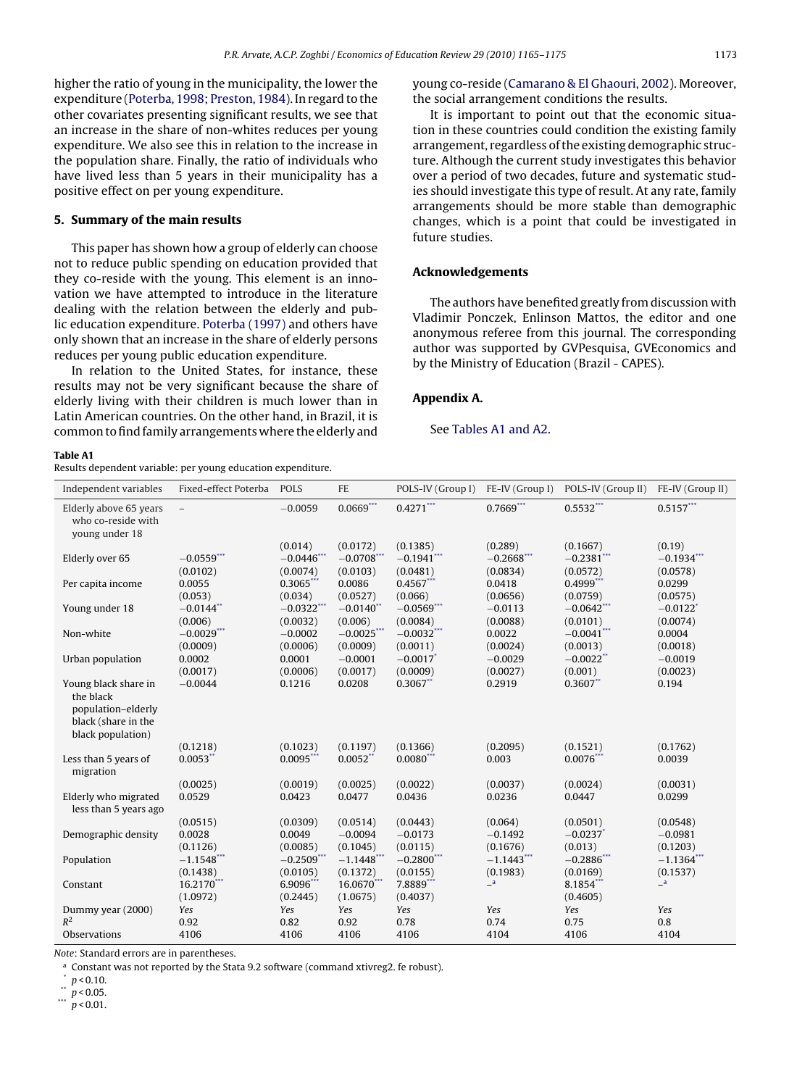<span id="page-8-0"></span>higher the ratio of young in the municipality, the lower the expenditure ([Poterba, 1998; Preston, 1984\).](#page-9-0) In regard to the other covariates presenting significant results, we see that an increase in the share of non-whites reduces per young expenditure. We also see this in relation to the increase in the population share. Finally, the ratio of individuals who have lived less than 5 years in their municipality has a positive effect on per young expenditure.

## **5. Summary of the main results**

This paper has shown how a group of elderly can choose not to reduce public spending on education provided that they co-reside with the young. This element is an innovation we have attempted to introduce in the literature dealing with the relation between the elderly and public education expenditure. [Poterba \(1997\)](#page-9-0) and others have only shown that an increase in the share of elderly persons reduces per young public education expenditure.

In relation to the United States, for instance, these results may not be very significant because the share of elderly living with their children is much lower than in Latin American countries. On the other hand, in Brazil, it is common to find family arrangements where the elderly and young co-reside [\(Camarano & El Ghaouri, 2002\).](#page-9-0) Moreover, the social arrangement conditions the results.

It is important to point out that the economic situation in these countries could condition the existing family arrangement, regardless of the existing demographic structure. Although the current study investigates this behavior over a period of two decades, future and systematic studies should investigate this type of result. At any rate, family arrangements should be more stable than demographic changes, which is a point that could be investigated in future studies.

## **Acknowledgements**

The authors have benefited greatly from discussion with Vladimir Ponczek, Enlinson Mattos, the editor and one anonymous referee from this journal. The corresponding author was supported by GVPesquisa, GVEconomics and by the Ministry of Education (Brazil - CAPES).

## **Appendix A.**

See Tables A1 and A2.

**Table A1**

Results dependent variable: per young education expenditure.

| Independent variables                                                                               | Fixed-effect Poterba     | POLS                    | <b>FE</b>             | POLS-IV (Group I)       | FE-IV (Group I)       | POLS-IV (Group II)       | FE-IV (Group II)       |
|-----------------------------------------------------------------------------------------------------|--------------------------|-------------------------|-----------------------|-------------------------|-----------------------|--------------------------|------------------------|
| Elderly above 65 years<br>who co-reside with<br>young under 18                                      | $\overline{\phantom{0}}$ | $-0.0059$               | $0.0669***$           | $0.4271***$             | $0.7669***$           | $0.5532***$              | $0.5157***$            |
|                                                                                                     |                          | (0.014)                 | (0.0172)              | (0.1385)                | (0.289)               | (0.1667)                 | (0.19)                 |
| Elderly over 65                                                                                     | $-0.0559***$             | $-0.0446$ ***           | $-0.0708$ ***         | $-0.1941$ ***           | $-0.2668$ ***         | $-0.2381$ ***            | $-0.1934$ ***          |
| Per capita income                                                                                   | (0.0102)<br>0.0055       | (0.0074)<br>$0.3065***$ | (0.0103)<br>0.0086    | (0.0481)<br>$0.4567***$ | (0.0834)<br>0.0418    | (0.0572)<br>0.4999***    | (0.0578)<br>0.0299     |
|                                                                                                     | (0.053)                  | (0.034)                 | (0.0527)              | (0.066)                 | (0.0656)              | (0.0759)                 | (0.0575)               |
| Young under 18                                                                                      | $-0.0144$ <sup>**</sup>  | $-0.0322***$            | $-0.0140$ **          | $-0.0569***$            | $-0.0113$             | $-0.0642***$             | $-0.0122$ <sup>*</sup> |
|                                                                                                     | (0.006)                  | (0.0032)                | (0.006)               | (0.0084)                | (0.0088)              | (0.0101)                 | (0.0074)               |
| Non-white                                                                                           | $-0.0029***$             | $-0.0002$               | $-0.0025***$          | $-0.0032$ ***           | 0.0022                | $-0.0041$ ***            | 0.0004                 |
| Urban population                                                                                    | (0.0009)<br>0.0002       | (0.0006)<br>0.0001      | (0.0009)<br>$-0.0001$ | (0.0011)<br>$-0.0017$ * | (0.0024)<br>$-0.0029$ | (0.0013)<br>$-0.0022$ ** | (0.0018)<br>$-0.0019$  |
|                                                                                                     | (0.0017)                 | (0.0006)                | (0.0017)              | (0.0009)                | (0.0027)              | (0.001)                  | (0.0023)               |
| Young black share in<br>the black<br>population-elderly<br>black (share in the<br>black population) | $-0.0044$                | 0.1216                  | 0.0208                | $0.3067$ **             | 0.2919                | $0.3607$ **              | 0.194                  |
|                                                                                                     | (0.1218)                 | (0.1023)                | (0.1197)              | (0.1366)                | (0.2095)              | (0.1521)                 | (0.1762)               |
| Less than 5 years of<br>migration                                                                   | $0.0053**$               | $0.0095***$             | $0.0052$ **           | $0.0080***$             | 0.003                 | $0.0076***$              | 0.0039                 |
|                                                                                                     | (0.0025)                 | (0.0019)                | (0.0025)              | (0.0022)                | (0.0037)              | (0.0024)                 | (0.0031)               |
| Elderly who migrated<br>less than 5 years ago                                                       | 0.0529                   | 0.0423                  | 0.0477                | 0.0436                  | 0.0236                | 0.0447                   | 0.0299                 |
|                                                                                                     | (0.0515)                 | (0.0309)                | (0.0514)              | (0.0443)                | (0.064)               | (0.0501)                 | (0.0548)               |
| Demographic density                                                                                 | 0.0028<br>(0.1126)       | 0.0049<br>(0.0085)      | $-0.0094$<br>(0.1045) | $-0.0173$<br>(0.0115)   | $-0.1492$<br>(0.1676) | $-0.0237$ *<br>(0.013)   | $-0.0981$<br>(0.1203)  |
| Population                                                                                          | $-1.1548***$             | $-0.2509$ ***           | $-1.1448***$          | $-0.2800***$            | $-1.1443***$          | $-0.2886***$             | $-1.1364$ ***          |
|                                                                                                     | (0.1438)                 | (0.0105)                | (0.1372)              | (0.0155)                | (0.1983)              | (0.0169)                 | (0.1537)               |
| Constant                                                                                            | 16.2170***               | 6.9096***               | 16.0670***            | 7.8889***               | $\mathsf{a}$          | 8.1854***                | a                      |
|                                                                                                     | (1.0972)                 | (0.2445)                | (1.0675)              | (0.4037)                |                       | (0.4605)                 |                        |
| Dummy year (2000)<br>$R^2$                                                                          | Yes<br>0.92              | Yes<br>0.82             | Yes<br>0.92           | Yes<br>0.78             | Yes<br>0.74           | Yes<br>0.75              | Yes<br>0.8             |
| Observations                                                                                        | 4106                     | 4106                    | 4106                  | 4106                    | 4104                  | 4106                     | 4104                   |
|                                                                                                     |                          |                         |                       |                         |                       |                          |                        |

Note: Standard errors are in parentheses.

<sup>a</sup> Constant was not reported by the Stata 9.2 software (command xtivreg2. fe robust).

 $p < 0.10$ .

 $p < 0.05$ .

\*\*\*  $p$  < 0.01.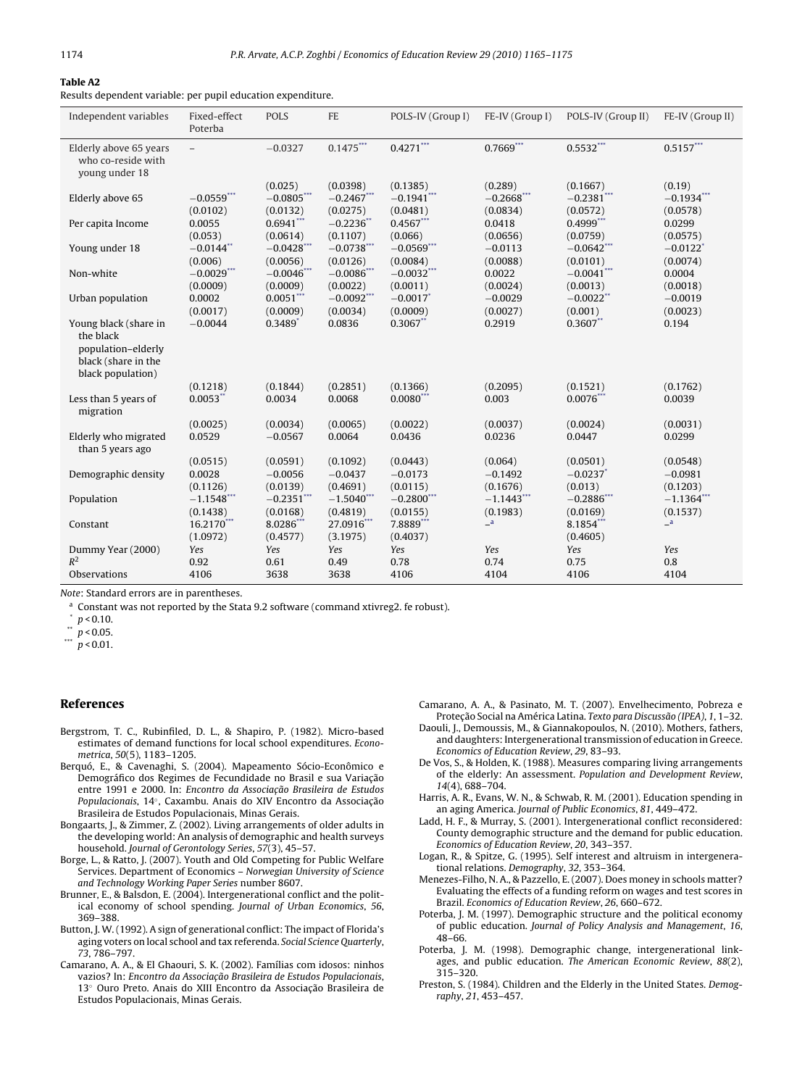#### <span id="page-9-0"></span>**Table A2**

Results dependent variable: per pupil education expenditure.

| Independent variables                                                       | Fixed-effect<br>Poterba         | <b>POLS</b>                          | <b>FE</b>                            | POLS-IV (Group I)                      | FE-IV (Group I)                  | POLS-IV (Group II)                            | FE-IV (Group II)                   |
|-----------------------------------------------------------------------------|---------------------------------|--------------------------------------|--------------------------------------|----------------------------------------|----------------------------------|-----------------------------------------------|------------------------------------|
| Elderly above 65 years<br>who co-reside with<br>young under 18              | $\overline{\phantom{0}}$        | $-0.0327$                            | $0.1475***$                          | $0.4271***$                            | $0.7669***$                      | $0.5532***$                                   | $0.5157***$                        |
| Elderly above 65                                                            | $-0.0559***$                    | (0.025)<br>$-0.0805***$              | (0.0398)<br>$-0.2467***$             | (0.1385)<br>$-0.1941***$               | (0.289)<br>$-0.2668***$          | (0.1667)<br>$-0.2381***$                      | (0.19)<br>$-0.1934***$             |
| Per capita Income                                                           | (0.0102)<br>0.0055<br>(0.053)   | (0.0132)<br>$0.6941***$<br>(0.0614)  | (0.0275)<br>$-0.2236$ **<br>(0.1107) | (0.0481)<br>$0.4567***$<br>(0.066)     | (0.0834)<br>0.0418<br>(0.0656)   | (0.0572)<br>$0.4999$ ***<br>(0.0759)          | (0.0578)<br>0.0299<br>(0.0575)     |
| Young under 18                                                              | $-0.0144$ **<br>(0.006)         | $-0.0428***$<br>(0.0056)             | $-0.0738***$<br>(0.0126)             | $-0.0569***$<br>(0.0084)               | $-0.0113$<br>(0.0088)            | $-0.0642***$<br>(0.0101)                      | $-0.0122$ <sup>*</sup><br>(0.0074) |
| Non-white                                                                   | $-0.0029***$<br>(0.0009)        | $-0.0046$ ***<br>(0.0009)            | $-0.0086***$<br>(0.0022)             | $-0.0032***$<br>(0.0011)               | 0.0022<br>(0.0024)               | $-0.0041***$<br>(0.0013)                      | 0.0004<br>(0.0018)                 |
| Urban population<br>Young black (share in                                   | 0.0002<br>(0.0017)<br>$-0.0044$ | $0.0051***$<br>(0.0009)<br>$0.3489*$ | $-0.0092***$<br>(0.0034)<br>0.0836   | $-0.0017$ *<br>(0.0009)<br>$0.3067$ ** | $-0.0029$<br>(0.0027)<br>0.2919  | $-0.0022$ **<br>(0.001)<br>$0.3607**$         | $-0.0019$<br>(0.0023)<br>0.194     |
| the black<br>population-elderly<br>black (share in the<br>black population) |                                 |                                      |                                      |                                        |                                  |                                               |                                    |
| Less than 5 years of                                                        | (0.1218)<br>$0.0053$ **         | (0.1844)<br>0.0034                   | (0.2851)<br>0.0068                   | (0.1366)<br>$0.0080$ ***               | (0.2095)<br>0.003                | (0.1521)<br>$0.0076***$                       | (0.1762)<br>0.0039                 |
| migration                                                                   | (0.0025)                        | (0.0034)                             | (0.0065)                             | (0.0022)                               | (0.0037)                         | (0.0024)                                      | (0.0031)                           |
| Elderly who migrated<br>than 5 years ago                                    | 0.0529                          | $-0.0567$                            | 0.0064                               | 0.0436                                 | 0.0236                           | 0.0447                                        | 0.0299                             |
| Demographic density                                                         | (0.0515)<br>0.0028<br>(0.1126)  | (0.0591)<br>$-0.0056$<br>(0.0139)    | (0.1092)<br>$-0.0437$<br>(0.4691)    | (0.0443)<br>$-0.0173$<br>(0.0115)      | (0.064)<br>$-0.1492$<br>(0.1676) | (0.0501)<br>$-0.0237$ <sup>*</sup><br>(0.013) | (0.0548)<br>$-0.0981$<br>(0.1203)  |
| Population                                                                  | $-1.1548***$<br>(0.1438)        | $-0.2351$ ***<br>(0.0168)            | $-1.5040$ ***<br>(0.4819)            | $-0.2800***$<br>(0.0155)               | $-1.1443***$<br>(0.1983)         | $-0.2886***$<br>(0.0169)                      | $-1.1364***$<br>(0.1537)           |
| Constant                                                                    | 16.2170***<br>(1.0972)          | 8.0286***<br>(0.4577)                | 27.0916***<br>(3.1975)               | 7.8889***<br>(0.4037)                  | a                                | 8.1854***<br>(0.4605)                         | a                                  |
| Dummy Year (2000)<br>$R^2$                                                  | Yes<br>0.92                     | Yes<br>0.61                          | Yes<br>0.49                          | Yes<br>0.78                            | Yes<br>0.74                      | Yes<br>0.75                                   | Yes<br>0.8                         |
| Observations                                                                | 4106                            | 3638                                 | 3638                                 | 4106                                   | 4104                             | 4106                                          | 4104                               |

Note: Standard errors are in parentheses.

<sup>a</sup> Constant was not reported by the Stata 9.2 software (command xtivreg2. fe robust).

 $p < 0.10$ .

 $\degree$  p < 0.05.

\*\*\*  $p < 0.01$ .

## **References**

- Bergstrom, T. C., Rubinfiled, D. L., & Shapiro, P. (1982). Micro-based estimates of demand functions for local school expenditures. Econometrica, 50(5), 1183–1205.
- Berquó, E., & Cavenaghi, S. (2004). Mapeamento Sócio-Econômico e Demográfico dos Regimes de Fecundidade no Brasil e sua Variação entre 1991 e 2000. In: Encontro da Associação Brasileira de Estudos Populacionais, 14°, Caxambu. Anais do XIV Encontro da Associação Brasileira de Estudos Populacionais, Minas Gerais.
- Bongaarts, J., & Zimmer, Z. (2002). Living arrangements of older adults in the developing world: An analysis of demographic and health surveys household. Journal of Gerontology Series, 57(3), 45–57.
- Borge, L., & Ratto, J. (2007). Youth and Old Competing for Public Welfare Services. Department of Economics – Norwegian University of Science and Technology Working Paper Series number 8607.
- Brunner, E., & Balsdon, E. (2004). Intergenerational conflict and the political economy of school spending. Journal of Urban Economics, 56, 369–388.
- Button, J. W. (1992). A sign of generational conflict: The impact of Florida's aging voters on local school and tax referenda. Social Science Quarterly, 73, 786–797.
- Camarano, A. A., & El Ghaouri, S. K. (2002). Famílias com idosos: ninhos vazios? In: Encontro da Associação Brasileira de Estudos Populacionais, 13<sup>°</sup> Ouro Preto. Anais do XIII Encontro da Associação Brasileira de Estudos Populacionais, Minas Gerais.
- Camarano, A. A., & Pasinato, M. T. (2007). Envelhecimento, Pobreza e Proteção Social na América Latina. Texto para Discussão (IPEA), 1, 1-32.
- Daouli, J., Demoussis, M., & Giannakopoulos, N. (2010). Mothers, fathers, and daughters: Intergenerational transmission of education in Greece. Economics of Education Review, 29, 83–93.
- De Vos, S., & Holden, K. (1988). Measures comparing living arrangements of the elderly: An assessment. Population and Development Review, 14(4), 688–704.
- Harris, A. R., Evans, W. N., & Schwab, R. M. (2001). Education spending in an aging America. Journal of Public Economics, 81, 449–472.
- Ladd, H. F., & Murray, S. (2001). Intergenerational conflict reconsidered: County demographic structure and the demand for public education. Economics of Education Review, 20, 343–357.
- Logan, R., & Spitze, G. (1995). Self interest and altruism in intergenerational relations. Demography, 32, 353–364.
- Menezes-Filho, N. A., & Pazzello, E. (2007). Does money in schools matter? Evaluating the effects of a funding reform on wages and test scores in Brazil. Economics of Education Review, 26, 660–672.
- Poterba, J. M. (1997). Demographic structure and the political economy of public education. Journal of Policy Analysis and Management, 16, 48–66.
- Poterba, J. M. (1998). Demographic change, intergenerational linkages, and public education. The American Economic Review, 88(2), 315–320.
- Preston, S. (1984). Children and the Elderly in the United States. Demography, 21, 453–457.